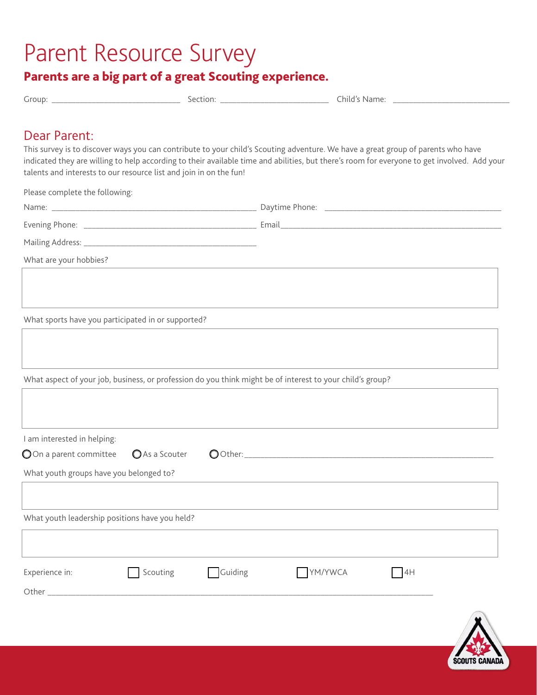## Parent Resource Survey

## Parents are a big part of a great Scouting experience.

| Group | nPT<br>чоп.<br>. | hild.<br>не<br>Ndi. |  |
|-------|------------------|---------------------|--|
|       |                  |                     |  |

## Dear Parent:

This survey is to discover ways you can contribute to your child's Scouting adventure. We have a great group of parents who have indicated they are willing to help according to their available time and abilities, but there's room for everyone to get involved. Add your talents and interests to our resource list and join in on the fun!

Please complete the following:

| What are your hobbies?                                                                                    |               |
|-----------------------------------------------------------------------------------------------------------|---------------|
|                                                                                                           |               |
|                                                                                                           |               |
| What sports have you participated in or supported?                                                        |               |
|                                                                                                           |               |
|                                                                                                           |               |
| What aspect of your job, business, or profession do you think might be of interest to your child's group? |               |
|                                                                                                           |               |
|                                                                                                           |               |
|                                                                                                           |               |
| I am interested in helping:                                                                               |               |
| OOn a parent committee<br>As a Scouter                                                                    |               |
| What youth groups have you belonged to?                                                                   |               |
|                                                                                                           |               |
| What youth leadership positions have you held?                                                            |               |
|                                                                                                           |               |
|                                                                                                           |               |
| Guiding<br>Scouting<br>Experience in:                                                                     | YM/YWCA<br>4H |
|                                                                                                           |               |
|                                                                                                           |               |
|                                                                                                           |               |